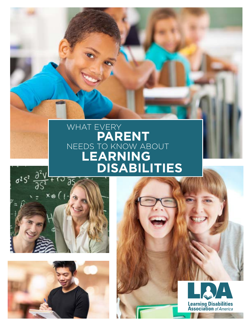### WHAT EVERY **PARENT** NEEDS TO KNOW ABOUT **LEARNING DISABILITIES**





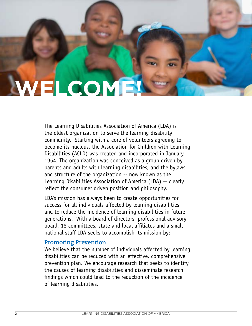# **WELCOME!**

The Learning Disabilities Association of America (LDA) is the oldest organization to serve the learning disability community. Starting with a core of volunteers agreeing to become its nucleus, the Association for Children with Learning Disabilities (ACLD) was created and incorporated in January, 1964. The organization was conceived as a group driven by parents and adults with learning disabilities, and the bylaws and structure of the organization -- now known as the Learning Disabilities Association of America (LDA) -- clearly reflect the consumer driven position and philosophy.

LDA's mission has always been to create opportunities for success for all individuals affected by learning disabilities and to reduce the incidence of learning disabilities in future generations. With a board of directors, professional advisory board, 18 committees, state and local affiliates and a small national staff LDA seeks to accomplish its mission by:

#### **Promoting Prevention**

We believe that the number of individuals affected by learning disabilities can be reduced with an effective, comprehensive prevention plan. We encourage research that seeks to identify the causes of learning disabilities and disseminate research findings which could lead to the reduction of the incidence of learning disabilities.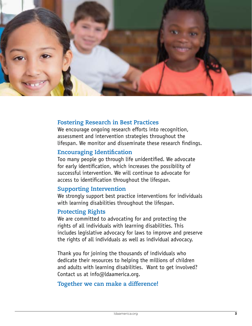

### **PARENT Fostering Research in Best Practices**

rostering Research in best riactices<br>We encourage ongoing research efforts into recognition, **LEARNING DISPONSITE STARKS**<br>assessment and intervention strategies throw<br>lifespan. We monitor and disseminate these<br>Encouraging Identification assessment and intervention strategies throughout the lifespan. We monitor and disseminate these research findings.

#### **Encouraging Identification**

Too many people go through life unidentified. We advocate for early identification, which increases the possibility of successful intervention. We will continue to advocate for access to identification throughout the lifespan.

#### **Supporting Intervention**

We strongly support best practice interventions for individuals with learning disabilities throughout the lifespan.

#### **Protecting Rights**

We are committed to advocating for and protecting the rights of all individuals with learning disabilities. This includes legislative advocacy for laws to improve and preserve the rights of all individuals as well as individual advocacy.

Thank you for joining the thousands of individuals who dedicate their resources to helping the millions of children and adults with learning disabilities. Want to get involved? Contact us at info@ldaamerica.org.

#### **Together we can make a difference!**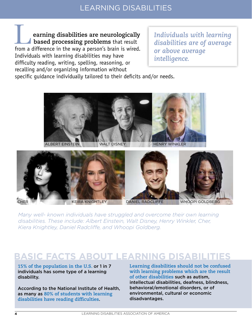**earning disabilities are neurologically based processing problems** that result **From a difference in the way a person's brain is wired.**<br> **Letter on a difference in the way a person's brain is wired.** Individuals with learning disabilities may have difficulty reading, writing, spelling, reasoning, or recalling and/or organizing information without

*Individuals with learning disabilities are of average or above average intelligence.* 

specific guidance individually tailored to their deficits and/or needs.





*Many well- known individuals have struggled and overcome their own learning disabilities. These include: Albert Einstein, Walt Disney, Henry Winkler, Cher, Kiera Knightley, Daniel Radcliffe, and Whoopi Goldberg.*

#### **BASIC FACTS ABOUT LEARNING DISABILITIES**

**15% of the population in the U.S.** or 1 in 7 individuals has some type of a learning disability.

According to the National Institute of Health, as many as **80% of students with learning disabilities have reading difficulties**.

**Learning disabilities should not be confused with learning problems which are the result of other disabilities** such as autism, intellectual disabilities, deafness, blindness, behavioral/emotional disorders, or of environmental, cultural or economic disadvantages.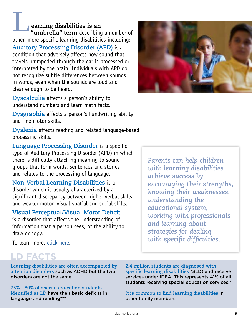**earning disabilities is an "umbrella" term** describing a number of other, more specific learning disabilities including: **Auditory Processing Disorder (APD)** is a condition that adversely affects how sound that travels unimpeded through the ear is processed or interpreted by the brain. Individuals with APD do not recognize subtle differences between sounds in words, even when the sounds are loud and clear enough to be heard. L

**Dyscalculia** affects a person's ability to understand numbers and learn math facts.

**Dysgraphia** affects a person's handwriting ability and fine motor skills.

**Dyslexia** affects reading and related language-based processing skills.

**Language Processing Disorder** is a specific type of Auditory Processing Disorder (APD) in which there is difficulty attaching meaning to sound groups that form words, sentences and stories and relates to the processing of language.

**Non-Verbal Learning Disabilities** is a disorder which is usually characterized by a significant discrepancy between higher verbal skills and weaker motor, visual-spatial and social skills.

#### **Visual Perceptual/Visual Motor Deficit**

is a disorder that affects the understanding of information that a person sees, or the ability to draw or copy.

To learn more, [click here](https://ldaamerica.org/support/new-to-ld/#defining).

#### **LD FACTS**

**Learning disabilities are often accompanied by attention disorders** such as ADHD but the two disorders are not the same.

**75% - 80% of special education students identified as LD** have their basic deficits in language and reading\*\*\*

**2.4 million students are diagnosed with specific learning disabilities** (SLD) and receive services under IDEA. This represents 41% of all students receiving special education services.\*

**It is common to find learning disabilities** in other family members.



*Parents can help children with learning disabilities achieve success by encouraging their strengths, knowing their weaknesses, understanding the educational system, working with professionals and learning about strategies for dealing with specific difficulties.*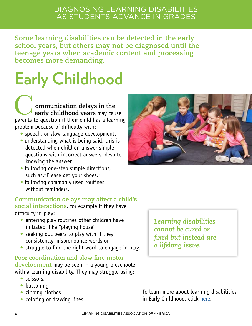#### DIAGNOSING LEARNING DISABILITIES AS STUDENTS ADVANCE IN GRADES

**Some learning disabilities can be detected in the early school years, but others may not be diagnosed until the teenage years when academic content and processing becomes more demanding.** 

# **Early Childhood**

 **ommunication delays in the early childhood years** may cause **Communication delays in the early childhood years** may cause parents to question if their child has a learning problem because of difficulty with:

- speech, or slow language development.
- understanding what is being said; this is detected when children answer simple questions with incorrect answers, despite knowing the answer.
- following one-step simple directions, such as,"Please get your shoes."
- following commonly used routines without reminders.

#### **Communication delays may affect a child's**

**social interactions**, for example if they have difficulty in play:

- entering play routines other children have initiated, like "playing house"
- seeking out peers to play with if they consistently mispronounce words or
- struggle to find the right word to engage in play.

**Poor coordination and slow fine motor development** may be seen in a young preschooler with a learning disability. They may struggle using:

- scissors,
- buttoning
- zipping clothes
- coloring or drawing lines.



*Learning disabilities cannot be cured or fixed but instead are a lifelong issue.* 

To learn more about learning disabilities in Early Childhood, click [here](https://ldaamerica.org/category/early-childhood/early-childhood-for-parents/).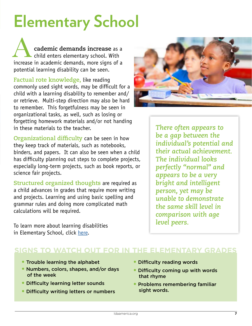## **Elementary School**

 **cademic demands increase** as a child enters elementary school. With cademic demands increase as a<br>
child enters elementary school. With<br>
increase in academic demands, more signs of a potential learning disability can be seen.

**Factual rote knowledge,** like reading commonly used sight words, may be difficult for a child with a learning disability to remember and/ or retrieve. Multi-step direction may also be hard to remember. This forgetfulness may be seen in organizational tasks, as well, such as losing or forgetting homework materials and/or not handing in these materials to the teacher.

**Organizational difficulty** can be seen in how they keep track of materials, such as notebooks, binders, and papers. It can also be seen when a child has difficulty planning out steps to complete projects, especially long-term projects, such as book reports, or science fair projects.

**Structured organized thoughts** are required as a child advances in grades that require more writing and projects. Learning and using basic spelling and grammar rules and doing more complicated math calculations will be required.

To learn more about learning disabilities in Elementary School, click [here.](https://ldaamerica.org/first-steps-for-parents-when-school-problems-are-observed/

)



*There often appears to be a gap between the individual's potential and their actual achievement. The individual looks perfectly "normal" and appears to be a very bright and intelligent person, yet may be unable to demonstrate the same skill level in comparison with age level peers.* 

#### **SIGNS TO WATCH OUT FOR IN THE ELEMENTARY GRADES**

- Trouble learning the alphabet
- Numbers, colors, shapes, and/or days of the week
- Difficulty learning letter sounds
- Difficulty writing letters or numbers
- Difficulty reading words
- Difficulty coming up with words that rhyme
- Problems remembering familiar sight words.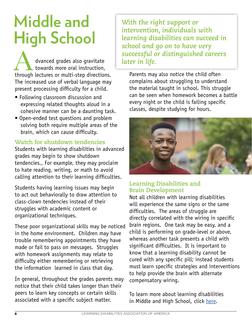### **Middle and High School**

 dvanced grades also gravitate towards more oral instruction, dvanced grades also gravitate<br>towards more oral instruction,<br>through lectures or multi-step directions. The increased use of verbal language may present processing difficulty for a child.

- Following classroom discussion and expressing related thoughts aloud in a cohesive manner can be a daunting task.
- Open-ended test questions and problem solving both require multiple areas of the brain, which can cause difficulty.

#### **Watch for shutdown tendencies**

Students with learning disabilities in advanced grades may begin to show shutdown tendencies., For example, they may proclaim to hate reading, writing, or math to avoid calling attention to their learning difficulties.

Students having learning issues may begin to act out behaviorally to draw attention to class-clown tendencies instead of their struggles with academic content or organizational techniques.

These poor organizational skills may be noticed in the home environment. Children may have trouble remembering appointments they have made or fail to pass on messages. Struggles with homework assignments may relate to difficulty either remembering or retrieving the information learned in class that day.

In general, throughout the grades parents may notice that their child takes longer than their peers to learn key concepts or certain skills associated with a specific subject matter.

*With the right support or intervention, individuals with learning disabilities can succeed in school and go on to have very successful or distinguished careers later in life.* 

Parents may also notice the child often complains about struggling to understand the material taught in school. This struggle can be seen when homework becomes a battle every night or the child is failing specific classes, despite studying for hours.



**Learning Disabilities and Brain Development**

Not all children with learning disabilities will experience the same signs or the same difficulties. The areas of struggle are directly correlated with the wiring in specific brain regions. One task may be easy, and a child is performing on grade-level or above, whereas another task presents a child with significant difficulties. It is important to know that a learning disability cannot be cured with any specific pill; instead students must learn specific strategies and interventions to help provide the brain with alternate compensatory wiring.

To learn more about learning disabilities in Middle and High School, click [here](https://ldaamerica.org/category/early-childhood/early-childhood-for-parents/).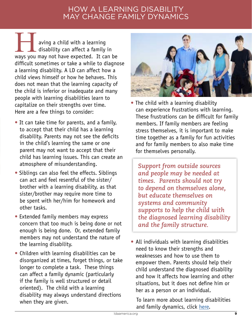#### HOW A LEARNING DISABILITY MAY CHANGE FAMILY DYNAMICS

 aving a child with a learning  $\overline{\phantom{a}}$  disability can affect a family in aving a child with a learning<br>
disability can affect a family in<br>
ways you may not have expected. It can be difficult sometimes or take a while to diagnose a learning disability. A LD can affect how a child views himself or how he behaves. This does not mean that the learning capacity of the child is inferior or inadequate and many people with learning disabilities learn to capitalize on their strengths over time. Here are a few things to consider:

- It can take time for parents, and a family, to accept that their child has a learning disability. Parents may not see the deficits in the child's learning the same or one parent may not want to accept that their child has learning issues. This can create an atmosphere of misunderstanding.
- Siblings can also feel the effects. Siblings can act and feel resentful of the sister/ brother with a learning disability, as that sister/brother may require more time to be spent with her/him for homework and other tasks.
- Extended family members may express concern that too much is being done or not enough is being done. Or, extended family members may not understand the nature of the learning disability.
- Children with learning disabilities can be disorganized at times, forget things, or take longer to complete a task. These things can affect a family dynamic (particularly if the family is well structured or detail oriented). The child with a learning disability may always understand directions when they are given.



• The child with a learning disability can experience frustrations with learning. These frustrations can be difficult for family members. If family members are feeling stress themselves, it is important to make time together as a family for fun activities and for family members to also make time for themselves personally.

*Support from outside sources and people may be needed at times. Parents should not try to depend on themselves alone, but educate themselves on systems and community supports to help the child with the diagnosed learning disability and the family structure.*

• All individuals with learning disabilities need to know their strengths and weaknesses and how to use them to empower them. Parents should help their child understand the diagnosed disability and how it affects how learning and other situations, but it does not define him or her as a person or an individual.

To learn more about learning disabilities and family dynamics, click [here](https://ldaamerica.org/what-do-parents-of-children-with-learning-disabilities-adhd-and-related-disorders-deal-with/).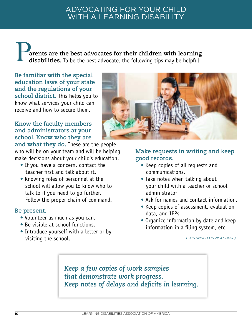#### ADVOCATING FOR YOUR CHILD WITH A LEARNING DISABILITY

P. **arents are the best advocates for their children with learning disabilities.** To be the best advocate, the following tips may be helpful:

**Be familiar with the special education laws of your state and the regulations of your school district.** This helps you to know what services your child can receive and how to secure them.

#### **Know the faculty members and administrators at your school. Know who they are**

**and what they do.** These are the people who will be on your team and will be helping make decisions about your child's education.

- If you have a concern, contact the teacher first and talk about it.
- Knowing roles of personnel at the school will allow you to know who to talk to if you need to go further. Follow the proper chain of command.

#### **Be present.**

- Volunteer as much as you can.
- Be visible at school functions.
- Introduce yourself with a letter or by visiting the school.



#### **Make requests in writing and keep good records.**

- Keep copies of all requests and communications.
- Take notes when talking about your child with a teacher or school administrator
- Ask for names and contact information.
- Keep copies of assessment, evaluation data, and IEPs.
- Organize information by date and keep information in a filing system, etc.

*(CONTINUED ON NEXT PAGE)*

*Keep a few copies of work samples that demonstrate work progress. Keep notes of delays and deficits in learning.*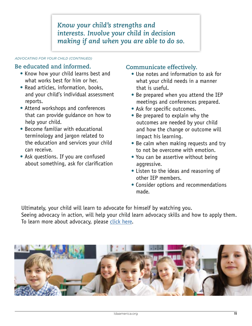*Know your child's strengths and interests. Involve your child in decision making if and when you are able to do so.* 

#### *ADVOCATING FOR YOUR CHILD (CONTINUED)*

#### **Be educated and informed.**

- Know how your child learns best and what works best for him or her.
- Read articles, information, books, and your child's individual assessment reports.
- Attend workshops and conferences that can provide guidance on how to help your child.
- Become familiar with educational terminology and jargon related to the education and services your child can receive.
- Ask questions. If you are confused about something, ask for clarification

#### **Communicate effectively.**

- Use notes and information to ask for what your child needs in a manner that is useful.
- Be prepared when you attend the IEP meetings and conferences prepared.
- Ask for specific outcomes.
- Be prepared to explain why the outcomes are needed by your child and how the change or outcome will impact his learning.
- Be calm when making requests and try to not be overcome with emotion.
- You can be assertive without being aggressive.
- Listen to the ideas and reasoning of other IEP members.
- Consider options and recommendations made.

Ultimately, your child will learn to advocate for himself by watching you. Seeing advocacy in action, will help your child learn advocacy skills and how to apply them. To learn more about advocacy, please [click here](https://ldaamerica.org/advocacy/).

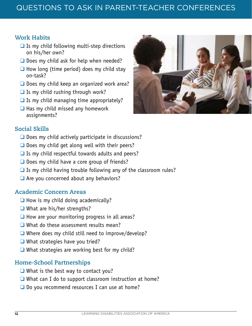#### **Work Habits**

- $\Box$  Is my child following multi-step directions on his/her own?
- ❑ Does my child ask for help when needed?
- $\Box$  How long (time period) does my child stay on-task?
- ❑ Does my child keep an organized work area?
- $\Box$  Is my child rushing through work?
- $\Box$  Is my child managing time appropriately?
- $\Box$  Has my child missed any homework assignments?

#### **Social Skills**

- ❑ Does my child actively participate in discussions?
- $\Box$  Does my child get along well with their peers?
- $\Box$  Is my child respectful towards adults and peers?
- ❑ Does my child have a core group of friends?
- $\Box$  Is my child having trouble following any of the classroom rules?
- □ Are you concerned about any behaviors?

#### **Academic Concern Areas**

- $\Box$  How is my child doing academically?
- ❑ What are his/her strengths?
- $\Box$  How are your monitoring progress in all areas?
- ❑ What do these assessment results mean?
- ❑ Where does my child still need to improve/develop?
- ❑ What strategies have you tried?
- $\Box$  What strategies are working best for my child?

#### **Home-School Partnerships**

- ❑ What is the best way to contact you?
- ❑ What can I do to support classroom instruction at home?
- □ Do you recommend resources I can use at home?